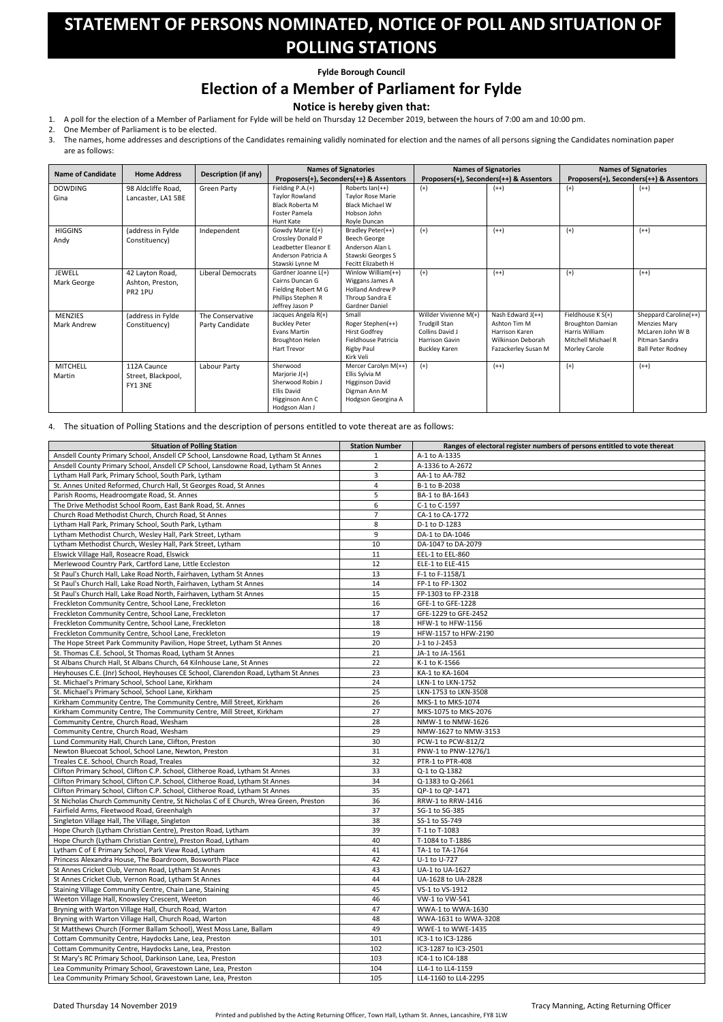Dated Thursday 14 November 2019 Tracy Manning, Acting Returning Officer

## **STATEMENT OF PERSONS NOMINATED, NOTICE OF POLL AND SITUATION OF POLLING STATIONS**

**Fylde Borough Council**

## **Election of a Member of Parliament for Fylde**

## **Notice is hereby given that:**

- 1. A poll for the election of a Member of Parliament for Fylde will be held on Thursday 12 December 2019, between the hours of 7:00 am and 10:00 pm.
- 2. One Member of Parliament is to be elected.
- 3. The names, home addresses and descriptions of the Candidates remaining validly nominated for election and the names of all persons signing the Candidates nomination paper are as follows:

|                          | <b>Home Address</b> | <b>Description (if any)</b> | <b>Names of Signatories</b> |                                         | <b>Names of Signatories</b> |                                         | <b>Names of Signatories</b> |                                         |
|--------------------------|---------------------|-----------------------------|-----------------------------|-----------------------------------------|-----------------------------|-----------------------------------------|-----------------------------|-----------------------------------------|
| <b>Name of Candidate</b> |                     |                             |                             | Proposers(+), Seconders(++) & Assentors |                             | Proposers(+), Seconders(++) & Assentors |                             | Proposers(+), Seconders(++) & Assentors |
| <b>DOWDING</b>           | 98 Aldcliffe Road,  | <b>Green Party</b>          | Fielding $P.A.(+)$          | Roberts $lan(++)$                       | $(+)$                       | $(++)$                                  | $(+)$                       | $(++)$                                  |
| Gina                     | Lancaster, LA1 5BE  |                             | <b>Taylor Rowland</b>       | <b>Taylor Rose Marie</b>                |                             |                                         |                             |                                         |
|                          |                     |                             | <b>Black Roberta M</b>      | <b>Black Michael W</b>                  |                             |                                         |                             |                                         |
|                          |                     |                             | Foster Pamela               | Hobson John                             |                             |                                         |                             |                                         |
|                          |                     |                             | Hunt Kate                   | Royle Duncan                            |                             |                                         |                             |                                         |
| <b>HIGGINS</b>           | (address in Fylde   | Independent                 | Gowdy Marie E(+)            | Bradley Peter(++)                       | $(+)$                       | $(++)$                                  | $(+)$                       | $(++)$                                  |
| Andy                     | Constituency)       |                             | Crossley Donald P           | <b>Beech George</b>                     |                             |                                         |                             |                                         |
|                          |                     |                             | Leadbetter Eleanor E        | Anderson Alan L                         |                             |                                         |                             |                                         |
|                          |                     |                             | Anderson Patricia A         | Stawski Georges S                       |                             |                                         |                             |                                         |
|                          |                     |                             | Stawski Lynne M             | Fecitt Elizabeth H                      |                             |                                         |                             |                                         |
| <b>JEWELL</b>            | 42 Layton Road,     | <b>Liberal Democrats</b>    | Gardner Joanne L(+)         | Winlow William(++)                      | $(+)$                       | $(++)$                                  | $(+)$                       | $(++)$                                  |
| Mark George              | Ashton, Preston,    |                             | Cairns Duncan G             | Wiggans James A                         |                             |                                         |                             |                                         |
|                          | PR2 1PU             |                             | Fielding Robert M G         | <b>Holland Andrew P</b>                 |                             |                                         |                             |                                         |
|                          |                     |                             | Phillips Stephen R          | Throup Sandra E                         |                             |                                         |                             |                                         |
|                          |                     |                             | Jeffrey Jason P             | Gardner Daniel                          |                             |                                         |                             |                                         |
| <b>MENZIES</b>           | (address in Fylde   | The Conservative            | Jacques Angela R(+)         | Small                                   | Willder Vivienne M(+)       | Nash Edward $J(++)$                     | Fieldhouse K S(+)           | Sheppard Caroline(++)                   |
| <b>Mark Andrew</b>       | Constituency)       | Party Candidate             | <b>Buckley Peter</b>        | Roger Stephen(++)                       | <b>Trudgill Stan</b>        | Ashton Tim M                            | <b>Broughton Damian</b>     | <b>Menzies Mary</b>                     |
|                          |                     |                             | <b>Evans Martin</b>         | <b>Hirst Godfrey</b>                    | Collins David J             | Harrison Karen                          | Harris William              | McLaren John W B                        |
|                          |                     |                             | <b>Broughton Helen</b>      | Fieldhouse Patricia                     | <b>Harrison Gavin</b>       | Wilkinson Deborah                       | Mitchell Michael R          | Pitman Sandra                           |
|                          |                     |                             | <b>Hart Trevor</b>          | <b>Rigby Paul</b>                       | <b>Buckley Karen</b>        | Fazackerley Susan M                     | <b>Morley Carole</b>        | <b>Ball Peter Rodney</b>                |
|                          |                     |                             |                             | Kirk Veli                               |                             |                                         |                             |                                         |
| <b>MITCHELL</b>          | 112A Caunce         | Labour Party                | Sherwood                    | Mercer Carolyn M(++)                    | $(+)$                       | $(++)$                                  | $(+)$                       | $(++)$                                  |
| Martin                   | Street, Blackpool,  |                             | Marjorie $J(+)$             | Ellis Sylvia M                          |                             |                                         |                             |                                         |
|                          | FY1 3NE             |                             | Sherwood Robin J            | <b>Higginson David</b>                  |                             |                                         |                             |                                         |
|                          |                     |                             | <b>Ellis David</b>          | Digman Ann M                            |                             |                                         |                             |                                         |
|                          |                     |                             | Higginson Ann C             | Hodgson Georgina A                      |                             |                                         |                             |                                         |
|                          |                     |                             | Hodgson Alan J              |                                         |                             |                                         |                             |                                         |

4. The situation of Polling Stations and the description of persons entitled to vote thereat are as follows:

| <b>Situation of Polling Station</b>                                                 | <b>Station Number</b> | Ranges of electoral register numbers of persons entitled to vote thereat |
|-------------------------------------------------------------------------------------|-----------------------|--------------------------------------------------------------------------|
| Ansdell County Primary School, Ansdell CP School, Lansdowne Road, Lytham St Annes   | 1                     | A-1 to A-1335                                                            |
| Ansdell County Primary School, Ansdell CP School, Lansdowne Road, Lytham St Annes   | $\overline{2}$        | A-1336 to A-2672                                                         |
| Lytham Hall Park, Primary School, South Park, Lytham                                | 3                     | AA-1 to AA-782                                                           |
| St. Annes United Reformed, Church Hall, St Georges Road, St Annes                   | 4                     | B-1 to B-2038                                                            |
| Parish Rooms, Headroomgate Road, St. Annes                                          | 5                     | BA-1 to BA-1643                                                          |
| The Drive Methodist School Room, East Bank Road, St. Annes                          | 6                     | C-1 to C-1597                                                            |
| Church Road Methodist Church, Church Road, St Annes                                 | $\overline{7}$        | CA-1 to CA-1772                                                          |
| Lytham Hall Park, Primary School, South Park, Lytham                                | 8                     | D-1 to D-1283                                                            |
| Lytham Methodist Church, Wesley Hall, Park Street, Lytham                           | 9                     | DA-1 to DA-1046                                                          |
| Lytham Methodist Church, Wesley Hall, Park Street, Lytham                           | 10                    | DA-1047 to DA-2079                                                       |
| Elswick Village Hall, Roseacre Road, Elswick                                        | 11                    | EEL-1 to EEL-860                                                         |
| Merlewood Country Park, Cartford Lane, Little Eccleston                             | 12                    | ELE-1 to ELE-415                                                         |
| St Paul's Church Hall, Lake Road North, Fairhaven, Lytham St Annes                  | 13                    | F-1 to F-1158/1                                                          |
| St Paul's Church Hall, Lake Road North, Fairhaven, Lytham St Annes                  | 14                    | FP-1 to FP-1302                                                          |
| St Paul's Church Hall, Lake Road North, Fairhaven, Lytham St Annes                  | 15                    | FP-1303 to FP-2318                                                       |
| Freckleton Community Centre, School Lane, Freckleton                                | 16                    | GFE-1 to GFE-1228                                                        |
| Freckleton Community Centre, School Lane, Freckleton                                | 17                    | GFE-1229 to GFE-2452                                                     |
| Freckleton Community Centre, School Lane, Freckleton                                | 18                    | HFW-1 to HFW-1156                                                        |
| Freckleton Community Centre, School Lane, Freckleton                                | 19                    | HFW-1157 to HFW-2190                                                     |
| The Hope Street Park Community Pavilion, Hope Street, Lytham St Annes               | 20                    | J-1 to J-2453                                                            |
| St. Thomas C.E. School, St Thomas Road, Lytham St Annes                             | 21                    | JA-1 to JA-1561                                                          |
| St Albans Church Hall, St Albans Church, 64 Kilnhouse Lane, St Annes                | 22                    | K-1 to K-1566                                                            |
| Heyhouses C.E. (Jnr) School, Heyhouses CE School, Clarendon Road, Lytham St Annes   | 23                    | KA-1 to KA-1604                                                          |
| St. Michael's Primary School, School Lane, Kirkham                                  | 24                    | LKN-1 to LKN-1752                                                        |
| St. Michael's Primary School, School Lane, Kirkham                                  | 25                    | LKN-1753 to LKN-3508                                                     |
| Kirkham Community Centre, The Community Centre, Mill Street, Kirkham                | 26                    | MKS-1 to MKS-1074                                                        |
| Kirkham Community Centre, The Community Centre, Mill Street, Kirkham                | 27                    | MKS-1075 to MKS-2076                                                     |
| Community Centre, Church Road, Wesham                                               | 28                    | NMW-1 to NMW-1626                                                        |
| Community Centre, Church Road, Wesham                                               | 29                    | NMW-1627 to NMW-3153                                                     |
| Lund Community Hall, Church Lane, Clifton, Preston                                  | 30                    | PCW-1 to PCW-812/2                                                       |
| Newton Bluecoat School, School Lane, Newton, Preston                                | 31                    | PNW-1 to PNW-1276/1                                                      |
| Treales C.E. School, Church Road, Treales                                           | 32                    | PTR-1 to PTR-408                                                         |
| Clifton Primary School, Clifton C.P. School, Clitheroe Road, Lytham St Annes        | 33                    | Q-1 to Q-1382                                                            |
| Clifton Primary School, Clifton C.P. School, Clitheroe Road, Lytham St Annes        | 34                    | Q-1383 to Q-2661                                                         |
| Clifton Primary School, Clifton C.P. School, Clitheroe Road, Lytham St Annes        | 35                    | QP-1 to QP-1471                                                          |
| St Nicholas Church Community Centre, St Nicholas C of E Church, Wrea Green, Preston | 36                    | RRW-1 to RRW-1416                                                        |
| Fairfield Arms, Fleetwood Road, Greenhalgh                                          | 37                    | SG-1 to SG-385                                                           |
| Singleton Village Hall, The Village, Singleton                                      | 38                    | SS-1 to SS-749                                                           |
| Hope Church (Lytham Christian Centre), Preston Road, Lytham                         | 39                    | T-1 to T-1083                                                            |
| Hope Church (Lytham Christian Centre), Preston Road, Lytham                         | 40                    | T-1084 to T-1886                                                         |
| Lytham C of E Primary School, Park View Road, Lytham                                | 41                    | TA-1 to TA-1764                                                          |
| Princess Alexandra House, The Boardroom, Bosworth Place                             | 42                    | U-1 to U-727                                                             |
| St Annes Cricket Club, Vernon Road, Lytham St Annes                                 | 43                    | UA-1 to UA-1627                                                          |
| St Annes Cricket Club, Vernon Road, Lytham St Annes                                 | 44                    | UA-1628 to UA-2828                                                       |
| Staining Village Community Centre, Chain Lane, Staining                             | 45                    | VS-1 to VS-1912                                                          |
| Weeton Village Hall, Knowsley Crescent, Weeton                                      | 46                    | VW-1 to VW-541                                                           |
| Bryning with Warton Village Hall, Church Road, Warton                               | 47                    |                                                                          |
| Bryning with Warton Village Hall, Church Road, Warton                               | 48                    | WWA-1 to WWA-1630<br>WWA-1631 to WWA-3208                                |
| St Matthews Church (Former Ballam School), West Moss Lane, Ballam                   | 49                    | WWE-1 to WWE-1435                                                        |
|                                                                                     |                       |                                                                          |
| Cottam Community Centre, Haydocks Lane, Lea, Preston                                | 101                   | IC3-1 to IC3-1286                                                        |
| Cottam Community Centre, Haydocks Lane, Lea, Preston                                | 102                   | IC3-1287 to IC3-2501                                                     |
| St Mary's RC Primary School, Darkinson Lane, Lea, Preston                           | 103                   | IC4-1 to IC4-188                                                         |
| Lea Community Primary School, Gravestown Lane, Lea, Preston                         | 104                   | LL4-1 to LL4-1159                                                        |
| Lea Community Primary School, Gravestown Lane, Lea, Preston                         | 105                   | LL4-1160 to LL4-2295                                                     |